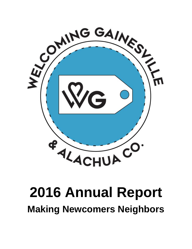

# **2016 Annual Report Making Newcomers Neighbors**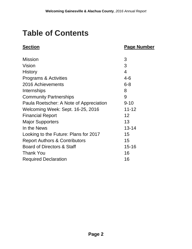# **Table of Contents**

#### **Section Page Number**

| <b>Mission</b>                           | 3         |
|------------------------------------------|-----------|
| Vision                                   | 3         |
| History                                  | 4         |
| <b>Programs &amp; Activities</b>         | $4 - 6$   |
| 2016 Achievements                        | $6 - 8$   |
| Internships                              | 8         |
| <b>Community Partnerships</b>            | 9         |
| Paula Roetscher: A Note of Appreciation  | $9 - 10$  |
| Welcoming Week: Sept. 16-25, 2016        | $11 - 12$ |
| <b>Financial Report</b>                  | 12        |
| <b>Major Supporters</b>                  | 13        |
| In the News                              | $13 - 14$ |
| Looking to the Future: Plans for 2017    | 15        |
| <b>Report Authors &amp; Contributors</b> | 15        |
| Board of Directors & Staff               | $15 - 16$ |
| <b>Thank You</b>                         | 16        |
| <b>Required Declaration</b>              | 16        |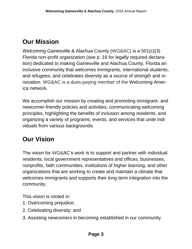# **Our Mission**

Welcoming Gainesville & Alachua County (WG&AC) is a 501(c)(3) Florida non-profit organization (see p. 16 for legally required declaration) dedicated to making Gainesville and Alachua County, Florida an inclusive community that welcomes immigrants, international students, and refugees, and celebrates diversity as a source of strength and innovation. WG&AC is a dues-paying member of the Welcoming America network.

We accomplish our mission by creating and promoting immigrant- and newcomer-friendly policies and activities, communicating welcoming principles, highlighting the benefits of inclusion among residents, and organizing a variety of programs, events, and services that unite individuals from various backgrounds.

# **Our Vision**

The vision for WG&AC's work is to support and partner with individual residents, local government representatives and offices, businesses, nonprofits, faith communities, institutions of higher learning, and other organizations that are working to create and maintain a climate that welcomes immigrants and supports their long-term integration into the community.

This vision is rooted in:

- 1. Overcoming prejudice;
- 2. Celebrating diversity; and
- 3. Assisting newcomers in becoming established in our community.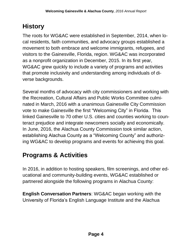# **History**

The roots for WG&AC were established in September, 2014, when local residents, faith communities, and advocacy groups established a movement to both embrace and welcome immigrants, refugees, and visitors to the Gainesville, Florida, region. WG&AC was incorporated as a nonprofit organization in December, 2015. In its first year, WG&AC grew quickly to include a variety of programs and activities that promote inclusivity and understanding among individuals of diverse backgrounds.

Several months of advocacy with city commissioners and working with the Recreation, Cultural Affairs and Public Works Committee culminated in March, 2016 with a unanimous Gainesville City Commission vote to make Gainesville the first "Welcoming City" in Florida. This linked Gainesville to 70 other U.S. cities and counties working to counteract prejudice and integrate newcomers socially and economically. In June, 2016, the Alachua County Commission took similar action, establishing Alachua County as a "Welcoming County" and authorizing WG&AC to develop programs and events for achieving this goal.

# **Programs & Activities**

In 2016, in addition to hosting speakers, film screenings, and other educational and community-building events, WG&AC established or partnered alongside the following programs in Alachua County:

**English Conversation Partners**: WG&AC began working with the University of Florida's English Language Institute and the Alachua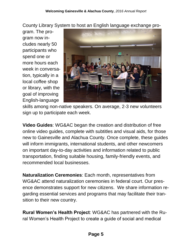County Library System to host an English language exchange pro-

gram. The program now includes nearly 50 participants who spend one or more hours each week in conversation, typically in a local coffee shop or library, with the goal of improving English-language



skills among non-native speakers. On average, 2-3 new volunteers sign up to participate each week.

**Video Guides**: WG&AC began the creation and distribution of free online video guides, complete with subtitles and visual aids, for those new to Gainesville and Alachua County. Once complete, these guides will inform immigrants, international students, and other newcomers on important day-to-day activities and information related to public transportation, finding suitable housing, family-friendly events, and recommended local businesses.

**Naturalization Ceremonies**: Each month, representatives from WG&AC attend naturalization ceremonies in federal court. Our presence demonstrates support for new citizens. We share information regarding essential services and programs that may facilitate their transition to their new country.

**Rural Women's Health Project**: WG&AC has partnered with the Rural Women's Health Project to create a guide of social and medical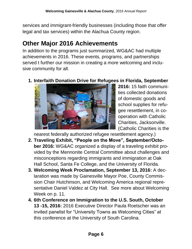services and immigrant-friendly businesses (including those that offer legal and tax services) within the Alachua County region.

# **Other Major 2016 Achievements**

In addition to the programs just summarized, WG&AC had multiple achievements in 2016. These events, programs, and partnerships served t further our mission in creating a more welcoming and inclusive community for all.

#### **1. Interfaith Donation Drive for Refugees in Florida, September**



**2016:** 15 faith communities collected donations of domestic goods and school supplies for refugee resettlement, in cooperation with Catholic Charities, Jacksonville. (Catholic Charities is the

nearest federally authorized refugee resettlement agency.)

- **2. Traveling Exhibit, "People on the Move", September/October 2016:** WG&AC organized a display of a traveling exhibit provided by the Mennonite Central Committee about challenges and misconceptions regarding immigrants and immigration at Oak Hall School, Santa Fe College, and the University of Florida.
- **3. Welcoming Week Proclamation, September 13, 2016:** A declaration was made by Gainesville Mayor Poe, County Commission Chair Hutchinson, and Welcoming America regional representative Daniel Valdez at City Hall. See more about Welcoming Week on p. 11.
- **4. 6th Conference on Immigration to the U.S. South, October 13 -15, 2016:** 2016 Executive Director Paula Roetscher was an invited panelist for "University Towns as Welcoming Cities" at this conference at the University of South Carolina.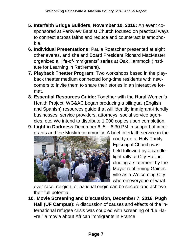- **5. Interfaith Bridge Builders, November 10, 2016:** An event cosponsored at Parkview Baptist Church focused on practical ways to connect across faiths and reduce and counteract Islamophobia.
- **6. Individual Presentations:** Paula Roetscher presented at eight other events, and she and Board President Richard MacMaster organized a "life-of-immigrants" series at Oak Hammock (Institute for Learning in Retirement).
- **7. Playback Theater Program**: Two workshops based in the playback theater medium connected long-time residents with newcomers to invite them to share their stories in an interactive format.
- **8. Essential Resources Guide:** Together with the Rural Women's Health Project, WG&AC began producing a bilingual (English and Spanish) resources guide that will identify immigrant-friendly businesses, service providers, attorneys, social service agencies, etc. We intend to distribute 1,000 copies upon completion.
- **9. Light in Darkness** December 6, 5 6:30 PM in support of immigrants and the Muslim community. A brief interfaith service in the



courtyard at Holy Trinity Episcopal Church was held followed by a candlelight rally at City Hall, including a statement by the Mayor reaffirming Gainesville as a Welcoming City whereineveryone of what-

ever race, religion, or national origin can be secure and achieve their full potential.

**10. Movie Screening and Discussion, December 7, 2016, Pugh Hall (UF Campus):** A discussion of causes and effects of the international refugee crisis was coupled with screening of "Le Havre," a movie about African immigrants in France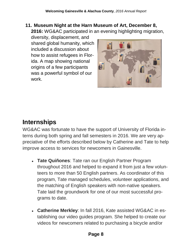**11. Museum Night at the Harn Museum of Art, December 8, 2016:** WG&AC participated in an evening highlighting migration,

diversity, displacement, and shared global humanity, which included a discussion about how to assist refugees in Florida. A map showing national origins of a few participants was a powerful symbol of our work.



# **Internships**

WG&AC was fortunate to have the support of University of Florida interns during both spring and fall semesters in 2016. We are very appreciative of the efforts described below by Catherine and Tate to help improve access to services for newcomers in Gainesville.

- Tate Quiñones: Tate ran our English Partner Program throughout 2016 and helped to expand it from just a few volunteers to more than 50 English partners. As coordinator of this program, Tate managed schedules, volunteer applications, and the matching of English speakers with non-native speakers. Tate laid the groundwork for one of our most successful programs to date.
- **Catherine Merkley**: In fall 2016, Kate assisted WG&AC in establishing our video guides program. She helped to create our videos for newcomers related to purchasing a bicycle and/or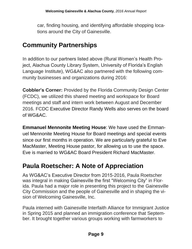car, finding housing, and identifying affordable shopping locations around the City of Gainesville.

# **Community Partnerships**

In addition to our partners listed above (Rural Women's Health Project, Alachua County Library System, University of Florida's English Language Institute), WG&AC also partnered with the following community businesses and organizations during 2016:

**Cobbler's Corner:** Provided by the Florida Community Design Center (FCDC), we utilized this shared meeting and workspace for Board meetings and staff and intern work between August and December 2016. FCDC Executive Director Randy Wells also serves on the board of WG&AC.

**Emmanuel Mennonite Meeting House**: We have used the Emmanuel Mennonite Meeting House for Board meetings and special events since our first months in operation. We are particularly grateful to Eve MacMaster, Meeting House pastor, for allowing us to use the space. Eve is married to WG&AC Board President Richard MacMaster.

# **Paula Roetscher: A Note of Appreciation**

As WG&AC's Executive Director from 2015-2016, Paula Roetscher was integral in making Gainesville the first "Welcoming City" in Florida. Paula had a major role in presenting this project to the Gainesville City Commission and the people of Gainesville and in shaping the vision of Welcoming Gainesville, Inc.

Paula interned with Gainesville Interfaith Alliance for Immigrant Justice in Spring 2015 and planned an immigration conference that September. It brought together various groups working with farmworkers to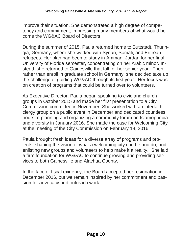improve their situation. She demonstrated a high degree of competency and commitment, impressing many members of what would become the WG&AC Board of Directors.

During the summer of 2015, Paula returned home to Buttstadt, Thuringia, Germany, where she worked with Syrian, Somali, and Eritrean refugees. Her plan had been to study in Amman, Jordan for her final University of Florida semester, concentrating on her Arabic minor. Instead, she returned to Gainesville that fall for her senior year. Then, rather than enroll in graduate school in Germany, she decided take up the challenge of guiding WG&AC through its first year. Her focus was on creation of programs that could be turned over to volunteers.

As Executive Director, Paula began speaking to civic and church groups in October 2015 and made her first presentation to a City Commission committee in November. She worked with an interfaith clergy group on a public event in December and dedicated countless hours to planning and organizing a community forum on Islamophobia and diversity in January 2016. She made the case for Welcoming City at the meeting of the City Commission on February 18, 2016.

Paula brought fresh ideas for a diverse array of programs and projects, shaping the vision of what a welcoming city can be and do, and enlisting new groups and volunteers to help make it a reality. She laid a firm foundation for WG&AC to continue growing and providing services to both Gainesville and Alachua County.

In the face of fiscal exigency, the Board accepted her resignation in December 2016, but we remain inspired by her commitment and passion for advocacy and outreach work.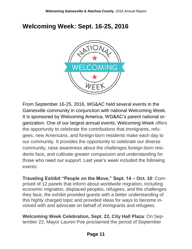#### **Welcoming Week: Sept. 16-25, 2016**



From September 16-25, 2016, WG&AC held several events in the Gainesville community in conjunction with national Welcoming Week. It is sponsored by Welcoming America, WG&AC's parent national organization. One of our largest annual events, Welcoming Week offers the opportunity to celebrate the contributions that immigrants, refugees, new Americans, and foreign-born residents make each day to our community. It provides the opportunity to celebrate our diverse community, raise awareness about the challenges foreign-born residents face, and cultivate greater compassion and understanding for those who need our support. Last year's week included the following events:

**Traveling Exhibit "People on the Move," Sept. 14 – Oct. 10**: Comprised of 12 panels that inform about worldwide migration, including economic migration, displaced peoples, refugees, and the challenges they face, the exhibit provided guests with a better understanding of this highly charged topic and provided ideas for ways to become involved with and advocate on behalf of immigrants and refugees.

**Welcoming Week Celebration, Sept. 22, City Hall Plaza**: On September 22, Mayor Lauren Poe proclaimed the period of September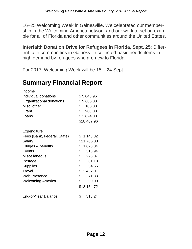16–25 Welcoming Week in Gainesville. We celebrated our membership in the Welcoming America network and our work to set an example for all of Florida and other communities around the United States.

**Interfaith Donation Drive for Refugees in Florida, Sept. 25**: Different faith communities in Gainesville collected basic needs items in high demand by refugees who are new to Florida.

For 2017, Welcoming Week will be 15 – 24 Sept.

#### **Summary Financial Report**

| <u>Income</u>               |                        |  |
|-----------------------------|------------------------|--|
| Individual donations        | \$5,043.96             |  |
| Organizational donations    | \$9,600.00             |  |
| Misc. other                 | \$100.00               |  |
| Grant                       | \$<br>900.00           |  |
| Loans                       | <u>\$2,824.00</u>      |  |
|                             | \$18,467.96            |  |
| <u>Expenditure</u>          |                        |  |
| Fees (Bank, Federal, State) | \$1,143.32             |  |
| Salary                      | \$11,766.00            |  |
| Fringes & benefits          | \$<br>1,828.84         |  |
| Events                      | \$<br>513.94           |  |
| <b>Miscellaneous</b>        | \$<br>228.07           |  |
| Postage                     | $\mathbb{S}$<br>61.10  |  |
| <b>Supplies</b>             | \$<br>54.56            |  |
| Travel                      | \$2,437.01             |  |
| <b>Web Presence</b>         | \$<br>71.88            |  |
| <b>Welcoming America</b>    | $\frac{1}{2}$<br>50.00 |  |
|                             | \$18,154.72            |  |
| End-of-Year Balance         | \$<br>313.24           |  |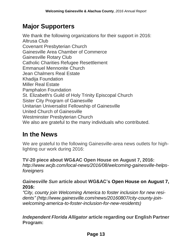#### **Major Supporters**

We thank the following organizations for their support in 2016: Altrusa Club Covenant Presbyterian Church Gainesville Area Chamber of Commerce Gainesville Rotary Club Catholic Charities Refugee Resettlement Emmanuel Mennonite Church Jean Chalmers Real Estate Khadija Foundation Miller Real Estate Pamphalon Foundation St. Elizabeth's Guild of Holy Trinity Episcopal Church Sister City Program of Gainesville Unitarian Universalist Fellowship of Gainesville United Church of Gainesville Westminster Presbyterian Church We also are grateful to the many individuals who contributed.

#### **In the News**

We are grateful to the following Gainesville-area news outlets for highlighting our work during 2016:

**TV-20 piece about WG&AC Open House on August 7, 2016:** *http://www.wcjb.com/local-news/2016/08/welcoming-gainesville-helpsforeigners*

#### *Gainesville Sun* **article about WG&AC's Open House on August 7, 2016:**

*"City, county join Welcoming America to foster inclusion for new residents" (http://www.gainesville.com/news/20160807/city-county-joinwelcoming-america-to-foster-inclusion-for-new-residents)*

*Independent Florida Alligator* **article regarding our English Partner Program:**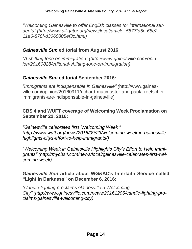*"Welcoming Gainesville to offer English classes for international students" (http://www.alligator.org/news/local/article\_5577fd5c-68e2- 11e6-878f-d3060805ef3c.html)*

#### *Gainesville Sun* **editorial from August 2016:**

*"A shifting tone on immigration" (http://www.gainesville.com/opinion/20160828/editorial-shifting-tone-on-immigration)*

#### *Gainesville Sun* **editorial September 2016:**

*"Immigrants are indispensable in Gainesville" (*http://www.gainesville.com/opinion/20160911/richard-macmaster-and-paula-roetscherimmigrants-are-indispensable-in-gainesville)

#### **CBS 4 and WUFT coverage of Welcoming Week Proclamation on September 22, 2016:**

*"Gainesville celebrates first 'Welcoming Week'" (http://www.wuft.org/news/2016/09/23/welcoming-week-in-gainesvillehighlights-citys-effort-to-help-immigrants/)*

*"Welcoming Week in Gainesville Highlights City's Effort to Help Immigrants" (http://mycbs4.com/news/local/gainesville-celebrates-first-welcoming-week)*

#### *Gainesville Sun* **article about WG&AC's Interfaith Service called "Light in Darkness" on December 6, 2016:**

*"Candle-lighting proclaims Gainesville a Welcoming City" (http://www.gainesville.com/news/20161206/candle-lighting-proclaims-gainesville-welcoming-city)*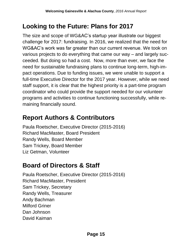#### **Looking to the Future: Plans for 2017**

The size and scope of WG&AC's startup year illustrate our biggest challenge for 2017: fundraising. In 2016, we realized that the need for WG&AC's work was far greater than our current revenue. We took on various projects to do everything that came our way – and largely succeeded. But doing so had a cost. Now, more than ever, we face the need for sustainable fundraising plans to continue long-term, high-impact operations. Due to funding issues, we were unable to support a full-time Executive Director for the 2017 year. However, while we need staff support, it is clear that the highest priority is a part-time program coordinator who could provide the support needed for our volunteer programs and activities to continue functioning successfully, while remaining financially sound.

#### **Report Authors & Contributors**

Paula Roetscher, Executive Director (2015-2016) Richard MacMaster, Board President Randy Wells, Board Member Sam Trickey, Board Member Liz Getman, Volunteer

#### **Board of Directors & Staff**

Paula Roetscher, Executive Director (2015-2016) Richard MacMaster, President Sam Trickey, Secretary Randy Wells, Treasurer Andy Bachman Milford Griner Dan Johnson David Kaiman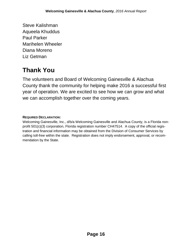Steve Kalishman Aqueela Khuddus Paul Parker Marihelen Wheeler Diana Moreno Liz Getman

## **Thank You**

The volunteers and Board of Welcoming Gainesville & Alachua County thank the community for helping make 2016 a successful first year of operation. We are excited to see how we can grow and what we can accomplish together over the coming years.

#### **REQUIRED DECLARATION:**

Welcoming Gainesville, Inc., d/b/a Welcoming Gainesville and Alachua County, is a Florida nonprofit 501(c)(3) corporation, Florida registration number CH47514. A copy of the official registration and financial information may be obtained from the Division of Consumer Services by calling toll-free within the state. Registration does not imply endorsement, approval, or recommendation by the State.